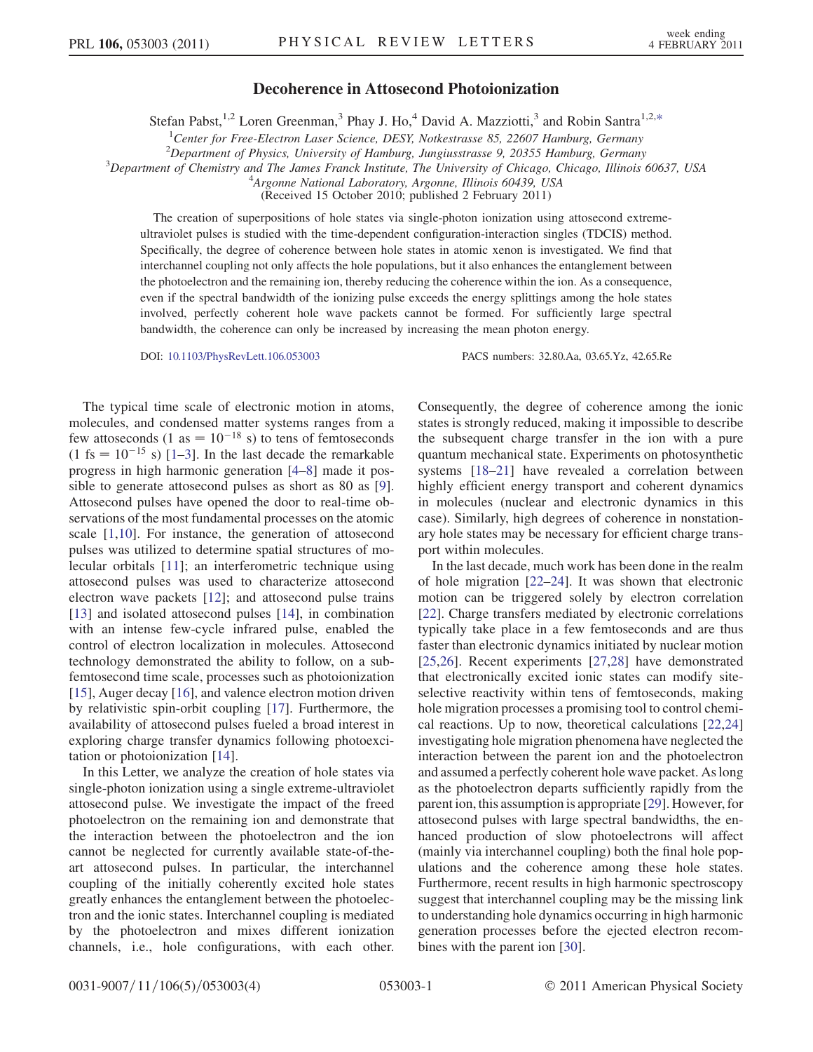## Decoherence in Attosecond Photoionization

Stefan Pabst,<sup>1,2</sup> Loren Greenman,<sup>3</sup> Phay J. Ho,<sup>4</sup> David A. Mazziotti,<sup>3</sup> and Robin Santra<sup>1,2[,\\*](#page-3-0)</sup>

<sup>1</sup>Center for Free-Electron Laser Science, DESY, Notkestrasse 85, 22607 Hamburg, Germany

<span id="page-0-0"></span><sup>2</sup> Department of Physics, University of Hamburg, Jungiusstrasse 9, 20355 Hamburg, Germany<sup>3</sup><br><sup>3</sup> Department of Chamistry and The James Franck Institute. The University of Chicago, Chicago, Illinois

 $3$ Department of Chemistry and The James Franck Institute, The University of Chicago, Chicago, Illinois 60637, USA

<sup>4</sup>Argonne National Laboratory, Argonne, Illinois 60439, USA

(Received 15 October 2010; published 2 February 2011)

The creation of superpositions of hole states via single-photon ionization using attosecond extremeultraviolet pulses is studied with the time-dependent configuration-interaction singles (TDCIS) method. Specifically, the degree of coherence between hole states in atomic xenon is investigated. We find that interchannel coupling not only affects the hole populations, but it also enhances the entanglement between the photoelectron and the remaining ion, thereby reducing the coherence within the ion. As a consequence, even if the spectral bandwidth of the ionizing pulse exceeds the energy splittings among the hole states involved, perfectly coherent hole wave packets cannot be formed. For sufficiently large spectral bandwidth, the coherence can only be increased by increasing the mean photon energy.

DOI: [10.1103/PhysRevLett.106.053003](http://dx.doi.org/10.1103/PhysRevLett.106.053003) PACS numbers: 32.80.Aa, 03.65.Yz, 42.65.Re

The typical time scale of electronic motion in atoms, molecules, and condensed matter systems ranges from a few attoseconds (1 as =  $10^{-18}$  s) to tens of femtoseconds  $(1 \text{ fs} = 10^{-15} \text{ s})$  [[1–](#page-3-1)[3](#page-3-2)]. In the last decade the remarkable progress in high harmonic generation [\[4](#page-3-3)–[8\]](#page-3-4) made it possible to generate attosecond pulses as short as 80 as [[9\]](#page-3-5). Attosecond pulses have opened the door to real-time observations of the most fundamental processes on the atomic scale [\[1,](#page-3-1)[10\]](#page-3-6). For instance, the generation of attosecond pulses was utilized to determine spatial structures of molecular orbitals [[11](#page-3-7)]; an interferometric technique using attosecond pulses was used to characterize attosecond electron wave packets [\[12\]](#page-3-8); and attosecond pulse trains [\[13\]](#page-3-9) and isolated attosecond pulses [[14](#page-3-10)], in combination with an intense few-cycle infrared pulse, enabled the control of electron localization in molecules. Attosecond technology demonstrated the ability to follow, on a subfemtosecond time scale, processes such as photoionization [\[15\]](#page-3-11), Auger decay [[16](#page-3-12)], and valence electron motion driven by relativistic spin-orbit coupling [\[17\]](#page-3-13). Furthermore, the availability of attosecond pulses fueled a broad interest in exploring charge transfer dynamics following photoexcitation or photoionization [\[14\]](#page-3-10).

In this Letter, we analyze the creation of hole states via single-photon ionization using a single extreme-ultraviolet attosecond pulse. We investigate the impact of the freed photoelectron on the remaining ion and demonstrate that the interaction between the photoelectron and the ion cannot be neglected for currently available state-of-theart attosecond pulses. In particular, the interchannel coupling of the initially coherently excited hole states greatly enhances the entanglement between the photoelectron and the ionic states. Interchannel coupling is mediated by the photoelectron and mixes different ionization channels, i.e., hole configurations, with each other.

Consequently, the degree of coherence among the ionic states is strongly reduced, making it impossible to describe the subsequent charge transfer in the ion with a pure quantum mechanical state. Experiments on photosynthetic systems [\[18](#page-3-14)–[21](#page-3-15)] have revealed a correlation between highly efficient energy transport and coherent dynamics in molecules (nuclear and electronic dynamics in this case). Similarly, high degrees of coherence in nonstationary hole states may be necessary for efficient charge transport within molecules.

In the last decade, much work has been done in the realm of hole migration [\[22–](#page-3-16)[24](#page-3-17)]. It was shown that electronic motion can be triggered solely by electron correlation [\[22\]](#page-3-16). Charge transfers mediated by electronic correlations typically take place in a few femtoseconds and are thus faster than electronic dynamics initiated by nuclear motion [\[25](#page-3-18)[,26\]](#page-3-19). Recent experiments [[27](#page-3-20)[,28](#page-3-21)] have demonstrated that electronically excited ionic states can modify siteselective reactivity within tens of femtoseconds, making hole migration processes a promising tool to control chemical reactions. Up to now, theoretical calculations [\[22,](#page-3-16)[24\]](#page-3-17) investigating hole migration phenomena have neglected the interaction between the parent ion and the photoelectron and assumed a perfectly coherent hole wave packet. As long as the photoelectron departs sufficiently rapidly from the parent ion, this assumption is appropriate [[29](#page-3-22)]. However, for attosecond pulses with large spectral bandwidths, the enhanced production of slow photoelectrons will affect (mainly via interchannel coupling) both the final hole populations and the coherence among these hole states. Furthermore, recent results in high harmonic spectroscopy suggest that interchannel coupling may be the missing link to understanding hole dynamics occurring in high harmonic generation processes before the ejected electron recombines with the parent ion [[30](#page-3-23)].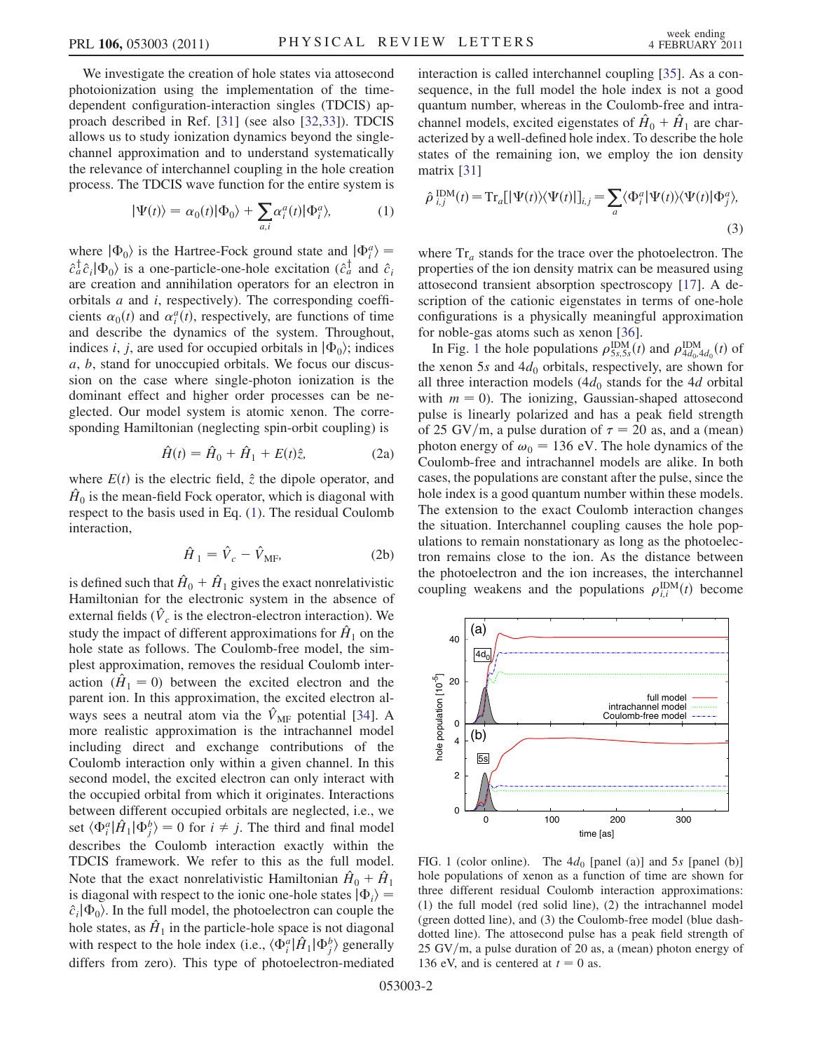We investigate the creation of hole states via attosecond photoionization using the implementation of the timedependent configuration-interaction singles (TDCIS) approach described in Ref. [\[31\]](#page-3-24) (see also [[32](#page-3-25),[33](#page-3-26)]). TDCIS allows us to study ionization dynamics beyond the singlechannel approximation and to understand systematically the relevance of interchannel coupling in the hole creation process. The TDCIS wave function for the entire system is

$$
|\Psi(t)\rangle = \alpha_0(t)|\Phi_0\rangle + \sum_{a,i} \alpha_i^a(t)|\Phi_i^a\rangle, \tag{1}
$$

<span id="page-1-0"></span>where  $|\Phi_0\rangle$  is the Hartree-Fock ground state and  $|\Phi_i^a\rangle =$  $\hat{c}_a^{\dagger} \hat{c}_i | \Phi_0 \rangle$  is a one-particle-one-hole excitation ( $\hat{c}_a^{\dagger}$  and  $\hat{c}_i$ ) are creation and annihilation operators for an electron in orbitals a and i, respectively). The corresponding coefficients  $\alpha_0(t)$  and  $\alpha_i^a(t)$ , respectively, are functions of time and describe the dynamics of the system. Throughout, indices *i*, *j*, are used for occupied orbitals in  $|\Phi_0\rangle$ ; indices a, b, stand for unoccupied orbitals. We focus our discussion on the case where single-photon ionization is the dominant effect and higher order processes can be neglected. Our model system is atomic xenon. The corresponding Hamiltonian (neglecting spin-orbit coupling) is

$$
\hat{H}(t) = \hat{H}_0 + \hat{H}_1 + E(t)\hat{z},
$$
 (2a)

where  $E(t)$  is the electric field,  $\hat{z}$  the dipole operator, and  $\hat{H}_0$  is the mean-field Fock operator, which is diagonal with respect to the basis used in Eq. ([1\)](#page-1-0). The residual Coulomb interaction,

$$
\hat{H}_1 = \hat{V}_c - \hat{V}_{MF},\tag{2b}
$$

is defined such that  $\hat{H}_0 + \hat{H}_1$  gives the exact nonrelativistic Hamiltonian for the electronic system in the absence of external fields ( $\hat{V}_c$  is the electron-electron interaction). We study the impact of different approximations for  $\hat{H}_1$  on the hole state as follows. The Coulomb-free model, the simplest approximation, removes the residual Coulomb interaction  $(\hat{H}_1 = 0)$  between the excited electron and the parent ion. In this approximation, the excited electron always sees a neutral atom via the  $\hat{V}_{MF}$  potential [[34](#page-3-27)]. A more realistic approximation is the intrachannel model including direct and exchange contributions of the Coulomb interaction only within a given channel. In this second model, the excited electron can only interact with the occupied orbital from which it originates. Interactions between different occupied orbitals are neglected, i.e., we set  $\langle \Phi_i^a | \hat{H}_1 | \Phi_j^b \rangle = 0$  for  $i \neq j$ . The third and final model describes the Coulomb interaction exactly within the TDCIS framework. We refer to this as the full model. Note that the exact nonrelativistic Hamiltonian  $\hat{H}_0 + \hat{H}_1$ is diagonal with respect to the ionic one-hole states  $|\Phi_i\rangle =$  $\hat{c}_i|\Phi_0\rangle$ . In the full model, the photoelectron can couple the hole states, as  $\hat{H}_1$  in the particle-hole space is not diagonal with respect to the hole index (i.e.,  $\langle \Phi_i^a | \hat{H}_1 | \Phi_j^b \rangle$  generally differs from zero). This type of photoelectron-mediated interaction is called interchannel coupling [\[35\]](#page-3-28). As a consequence, in the full model the hole index is not a good quantum number, whereas in the Coulomb-free and intrachannel models, excited eigenstates of  $\hat{H}_0 + \hat{H}_1$  are characterized by a well-defined hole index. To describe the hole states of the remaining ion, we employ the ion density matrix [[31](#page-3-24)]

$$
\hat{\rho}\,_{i,j}^{\text{IDM}}(t) = \text{Tr}_a[|\Psi(t)\rangle\langle\Psi(t)|]_{i,j} = \sum_a \langle\Phi_i^a|\Psi(t)\rangle\langle\Psi(t)|\Phi_j^a\rangle,
$$
\n(3)

where  $Tr_a$  stands for the trace over the photoelectron. The properties of the ion density matrix can be measured using attosecond transient absorption spectroscopy [\[17\]](#page-3-13). A description of the cationic eigenstates in terms of one-hole configurations is a physically meaningful approximation for noble-gas atoms such as xenon [[36](#page-3-29)].

In Fig. [1](#page-1-1) the hole populations  $\rho_{5s,5s}^{\text{IDM}}(t)$  and  $\rho_{4d_0,4d_0}^{\text{IDM}}(t)$  of the xenon 5s and  $4d_0$  orbitals, respectively, are shown for all three interaction models  $(4d_0$  stands for the 4d orbital with  $m = 0$ ). The ionizing, Gaussian-shaped attosecond pulse is linearly polarized and has a peak field strength of 25 GV/m, a pulse duration of  $\tau = 20$  as, and a (mean) photon energy of  $\omega_0 = 136$  eV. The hole dynamics of the Coulomb-free and intrachannel models are alike. In both cases, the populations are constant after the pulse, since the hole index is a good quantum number within these models. The extension to the exact Coulomb interaction changes the situation. Interchannel coupling causes the hole populations to remain nonstationary as long as the photoelectron remains close to the ion. As the distance between the photoelectron and the ion increases, the interchannel coupling weakens and the populations  $\rho_{i,i}^{\text{IDM}}(t)$  become

<span id="page-1-1"></span>

FIG. 1 (color online). The  $4d_0$  [panel (a)] and 5s [panel (b)] hole populations of xenon as a function of time are shown for three different residual Coulomb interaction approximations: (1) the full model (red solid line), (2) the intrachannel model (green dotted line), and (3) the Coulomb-free model (blue dashdotted line). The attosecond pulse has a peak field strength of  $25 \text{ GV/m}$ , a pulse duration of 20 as, a (mean) photon energy of 136 eV, and is centered at  $t = 0$  as.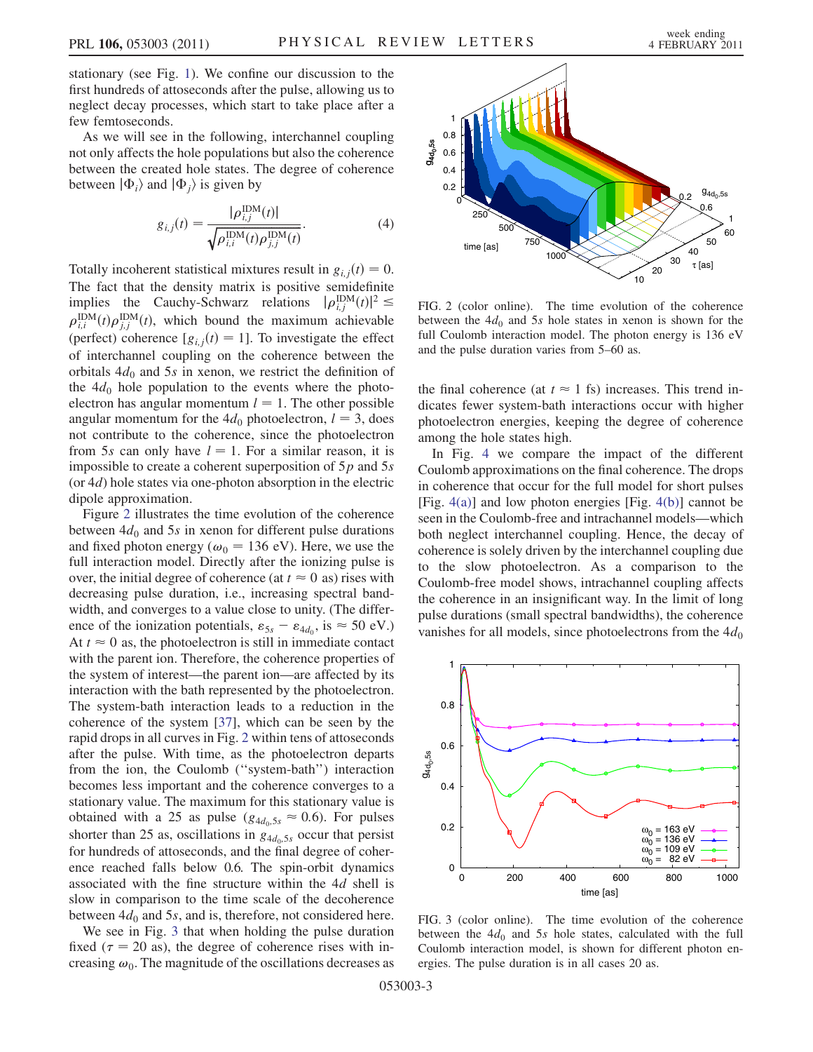stationary (see Fig. [1\)](#page-1-1). We confine our discussion to the first hundreds of attoseconds after the pulse, allowing us to neglect decay processes, which start to take place after a few femtoseconds.

<span id="page-2-2"></span>As we will see in the following, interchannel coupling not only affects the hole populations but also the coherence between the created hole states. The degree of coherence between  $|\Phi_i\rangle$  and  $|\Phi_j\rangle$  is given by

$$
g_{i,j}(t) = \frac{|\rho_{i,j}^{\text{IDM}}(t)|}{\sqrt{\rho_{i,i}^{\text{IDM}}(t)\rho_{j,j}^{\text{IDM}}(t)}}.
$$
 (4)

Totally incoherent statistical mixtures result in  $g_{i,j}(t) = 0$ . The fact that the density matrix is positive semidefinite implies the Cauchy-Schwarz relations  $|\rho_{i,j}^{\text{IDM}}(t)|^2 \leq$  $\rho_{i,i}^{\text{IDM}}(t)\rho_{j,j}^{\text{IDM}}(t)$ , which bound the maximum achievable (perfect) coherence  $[g_{ij}(t) = 1]$ . To investigate the effect of interchannel coupling on the coherence between the orbitals  $4d_0$  and 5s in xenon, we restrict the definition of the  $4d_0$  hole population to the events where the photoelectron has angular momentum  $l = 1$ . The other possible angular momentum for the  $4d_0$  photoelectron,  $l = 3$ , does not contribute to the coherence, since the photoelectron from 5s can only have  $l = 1$ . For a similar reason, it is impossible to create a coherent superposition of  $5p$  and  $5s$ (or  $4d$ ) hole states via one-photon absorption in the electric dipole approximation.

Figure [2](#page-2-0) illustrates the time evolution of the coherence between  $4d_0$  and 5s in xenon for different pulse durations and fixed photon energy ( $\omega_0$  = 136 eV). Here, we use the full interaction model. Directly after the ionizing pulse is over, the initial degree of coherence (at  $t \approx 0$  as) rises with decreasing pulse duration, i.e., increasing spectral bandwidth, and converges to a value close to unity. (The difference of the ionization potentials,  $\varepsilon_{5s} - \varepsilon_{4d_0}$ , is  $\approx$  50 eV.) At  $t \approx 0$  as, the photoelectron is still in immediate contact with the parent ion. Therefore, the coherence properties of the system of interest—the parent ion—are affected by its interaction with the bath represented by the photoelectron. The system-bath interaction leads to a reduction in the coherence of the system [[37](#page-3-30)], which can be seen by the rapid drops in all curves in Fig. [2](#page-2-0) within tens of attoseconds after the pulse. With time, as the photoelectron departs from the ion, the Coulomb (''system-bath'') interaction becomes less important and the coherence converges to a stationary value. The maximum for this stationary value is obtained with a 25 as pulse ( $g_{4d_0,5s} \approx 0.6$ ). For pulses shorter than 25 as, oscillations in  $g_{4d_0,5s}$  occur that persist for hundreds of attoseconds, and the final degree of coherence reached falls below 0.6. The spin-orbit dynamics associated with the fine structure within the 4d shell is slow in comparison to the time scale of the decoherence between  $4d_0$  and 5s, and is, therefore, not considered here.

We see in Fig. [3](#page-2-1) that when holding the pulse duration fixed ( $\tau$  = 20 as), the degree of coherence rises with increasing  $\omega_0$ . The magnitude of the oscillations decreases as

<span id="page-2-0"></span>

FIG. 2 (color online). The time evolution of the coherence between the  $4d_0$  and 5s hole states in xenon is shown for the full Coulomb interaction model. The photon energy is 136 eV and the pulse duration varies from 5–60 as.

the final coherence (at  $t \approx 1$  fs) increases. This trend indicates fewer system-bath interactions occur with higher photoelectron energies, keeping the degree of coherence among the hole states high.

In Fig. [4](#page-3-31) we compare the impact of the different Coulomb approximations on the final coherence. The drops in coherence that occur for the full model for short pulses [Fig.  $4(a)$ ] and low photon energies [Fig.  $4(b)$ ] cannot be seen in the Coulomb-free and intrachannel models—which both neglect interchannel coupling. Hence, the decay of coherence is solely driven by the interchannel coupling due to the slow photoelectron. As a comparison to the Coulomb-free model shows, intrachannel coupling affects the coherence in an insignificant way. In the limit of long pulse durations (small spectral bandwidths), the coherence vanishes for all models, since photoelectrons from the  $4d_0$ 

<span id="page-2-1"></span>

FIG. 3 (color online). The time evolution of the coherence between the  $4d_0$  and 5s hole states, calculated with the full Coulomb interaction model, is shown for different photon energies. The pulse duration is in all cases 20 as.